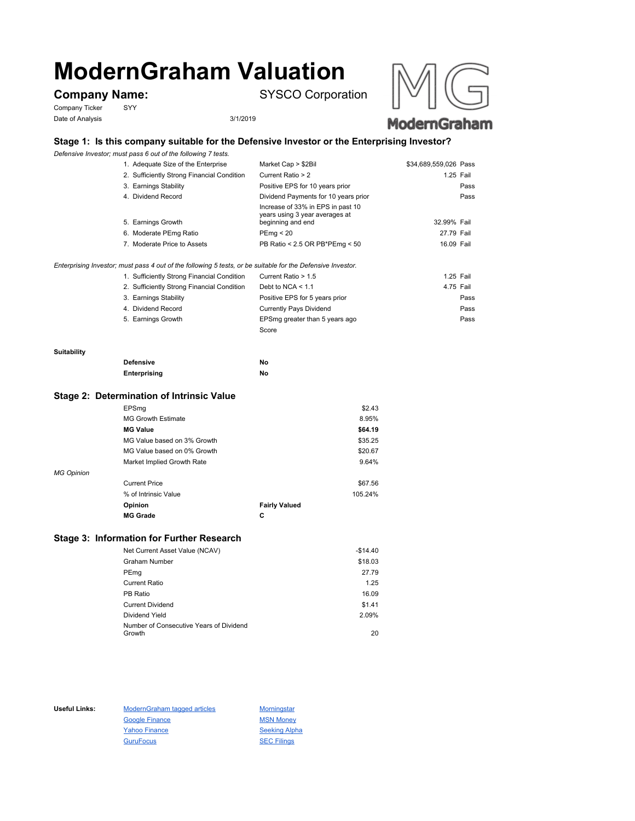# **ModernGraham Valuation**

Company Ticker SYY Date of Analysis 3/1/2019

**Company Name:** SYSCO Corporation



# **Stage 1: Is this company suitable for the Defensive Investor or the Enterprising Investor?**

*Defensive Investor; must pass 6 out of the following 7 tests.*

| 1. Adequate Size of the Enterprise         | Market Cap > \$2Bil                                                                      | \$34,689,559,026 Pass |  |
|--------------------------------------------|------------------------------------------------------------------------------------------|-----------------------|--|
| 2. Sufficiently Strong Financial Condition | Current Ratio > 2                                                                        | 1.25 Fail             |  |
| 3. Earnings Stability                      | Positive EPS for 10 years prior                                                          | Pass                  |  |
| 4. Dividend Record                         | Dividend Payments for 10 years prior                                                     | Pass                  |  |
| 5. Earnings Growth                         | Increase of 33% in EPS in past 10<br>years using 3 year averages at<br>beginning and end | 32.99% Fail           |  |
| 6. Moderate PEmg Ratio                     | PEmg < 20                                                                                | 27.79 Fail            |  |
| 7. Moderate Price to Assets                | PB Ratio < 2.5 OR PB*PEmg < 50                                                           | 16.09 Fail            |  |

*Enterprising Investor; must pass 4 out of the following 5 tests, or be suitable for the Defensive Investor.*

| 1. Sufficiently Strong Financial Condition | Current Ratio > 1.5            | 1.25 Fail |      |
|--------------------------------------------|--------------------------------|-----------|------|
| 2. Sufficiently Strong Financial Condition | Debt to NCA $<$ 1.1            | 4.75 Fail |      |
| 3. Earnings Stability                      | Positive EPS for 5 years prior |           | Pass |
| 4. Dividend Record                         | <b>Currently Pays Dividend</b> |           | Pass |
| 5. Earnings Growth                         | EPSmg greater than 5 years ago |           | Pass |
|                                            | Score                          |           |      |

#### **Suitability**

| <b>Defensive</b> | No |
|------------------|----|
| Enterprising     | No |

#### **Stage 2: Determination of Intrinsic Value**

|                   | EPSmg                       |                      | \$2.43  |
|-------------------|-----------------------------|----------------------|---------|
|                   | <b>MG Growth Estimate</b>   |                      | 8.95%   |
|                   | <b>MG Value</b>             |                      | \$64.19 |
|                   | MG Value based on 3% Growth |                      | \$35.25 |
|                   | MG Value based on 0% Growth |                      | \$20.67 |
|                   | Market Implied Growth Rate  |                      | 9.64%   |
| <b>MG Opinion</b> |                             |                      |         |
|                   | <b>Current Price</b>        |                      | \$67.56 |
|                   | % of Intrinsic Value        |                      | 105.24% |
|                   | Opinion                     | <b>Fairly Valued</b> |         |
|                   | <b>MG Grade</b>             | С                    |         |
|                   |                             |                      |         |

## **Stage 3: Information for Further Research**

| Net Current Asset Value (NCAV)          | $-$14.40$ |
|-----------------------------------------|-----------|
| Graham Number                           | \$18.03   |
| PEmg                                    | 27.79     |
| Current Ratio                           | 1.25      |
| PB Ratio                                | 16.09     |
| <b>Current Dividend</b>                 | \$1.41    |
| Dividend Yield                          | 2.09%     |
| Number of Consecutive Years of Dividend |           |
| Growth                                  | 20        |

Useful Links: ModernGraham tagged articles Morningstar Google Finance MSN Money Yahoo Finance Seeking Alpha GuruFocus SEC Filings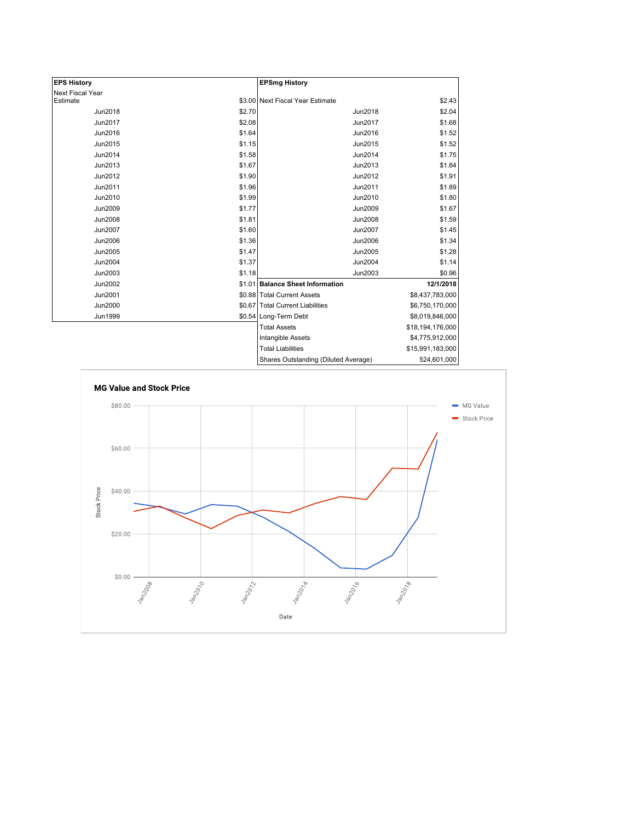| <b>EPS History</b> |        | <b>EPSmg History</b>                 |                  |
|--------------------|--------|--------------------------------------|------------------|
| Next Fiscal Year   |        |                                      |                  |
| Estimate           |        | \$3.00 Next Fiscal Year Estimate     | \$2.43           |
| <b>Jun2018</b>     | \$2.70 | Jun2018                              | \$2.04           |
| Jun2017            | \$2.08 | Jun2017                              | \$1.68           |
| Jun2016            | \$1.64 | Jun2016                              | \$1.52           |
| Jun2015            | \$1.15 | Jun2015                              | \$1.52           |
| Jun2014            | \$1.58 | Jun2014                              | \$1.75           |
| Jun2013            | \$1.67 | Jun2013                              | \$1.84           |
| Jun2012            | \$1.90 | Jun2012                              | \$1.91           |
| Jun2011            | \$1.96 | Jun2011                              | \$1.89           |
| Jun2010            | \$1.99 | Jun2010                              | \$1.80           |
| <b>Jun2009</b>     | \$1.77 | Jun2009                              | \$1.67           |
| <b>Jun2008</b>     | \$1.81 | <b>Jun2008</b>                       | \$1.59           |
| <b>Jun2007</b>     | \$1.60 | Jun2007                              | \$1.45           |
| Jun2006            | \$1.36 | Jun2006                              | \$1.34           |
| Jun2005            | \$1.47 | Jun2005                              | \$1.28           |
| <b>Jun2004</b>     | \$1.37 | Jun2004                              | \$1.14           |
| Jun2003            | \$1.18 | Jun2003                              | \$0.96           |
| Jun2002            |        | \$1.01 Balance Sheet Information     | 12/1/2018        |
| Jun2001            |        | \$0.88 Total Current Assets          | \$8,437,783,000  |
| <b>Jun2000</b>     |        | \$0.67 Total Current Liabilities     | \$6,750,170,000  |
| Jun1999            |        | \$0.54 Long-Term Debt                | \$8,019,846,000  |
|                    |        | <b>Total Assets</b>                  | \$18,194,176,000 |
|                    |        | Intangible Assets                    | \$4,775,912,000  |
|                    |        | <b>Total Liabilities</b>             | \$15,991,183,000 |
|                    |        | Shares Outstanding (Diluted Average) | 524,601,000      |